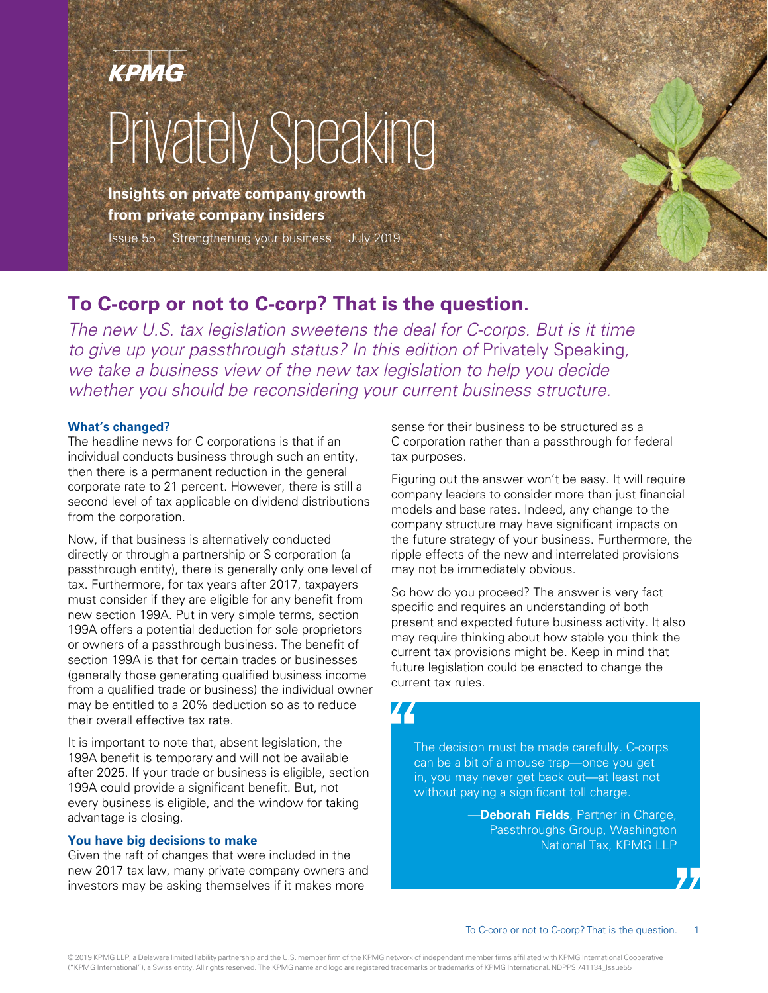# Privately Speaking

**Insights on private company growth from private company insiders** 

Issue 55 | Strengthening your business | July 2019

# **To C-corp or not to C-corp? That is the question.**

The new U.S. tax legislation sweetens the deal for C-corps. But is it time to give up your passthrough status? In this edition of Privately Speaking, we take a business view of the new tax legislation to help you decide whether you should be reconsidering your current business structure.

#### **What's changed?**

The headline news for C corporations is that if an individual conducts business through such an entity, then there is a permanent reduction in the general corporate rate to 21 percent. However, there is still a second level of tax applicable on dividend distributions from the corporation.

Now, if that business is alternatively conducted directly or through a partnership or S corporation (a passthrough entity), there is generally only one level of tax. Furthermore, for tax years after 2017, taxpayers must consider if they are eligible for any benefit from new section 199A. Put in very simple terms, section 199A offers a potential deduction for sole proprietors or owners of a passthrough business. The benefit of section 199A is that for certain trades or businesses (generally those generating qualified business income from a qualified trade or business) the individual owner may be entitled to a 20% deduction so as to reduce their overall effective tax rate.

It is important to note that, absent legislation, the 199A benefit is temporary and will not be available after 2025. If your trade or business is eligible, section 199A could provide a significant benefit. But, not every business is eligible, and the window for taking advantage is closing.

#### **You have big decisions to make**

Given the raft of changes that were included in the new 2017 tax law, many private company owners and investors may be asking themselves if it makes more

sense for their business to be structured as a C corporation rather than a passthrough for federal tax purposes.

Figuring out the answer won't be easy. It will require company leaders to consider more than just financial models and base rates. Indeed, any change to the company structure may have significant impacts on the future strategy of your business. Furthermore, the ripple effects of the new and interrelated provisions may not be immediately obvious.

So how do you proceed? The answer is very fact specific and requires an understanding of both present and expected future business activity. It also may require thinking about how stable you think the current tax provisions might be. Keep in mind that future legislation could be enacted to change the current tax rules.

# 44

The decision must be made carefully. C-corps can be a bit of a mouse trap—once you get in, you may never get back out—at least not without paying a significant toll charge.

> —**Deborah Fields**, Partner in Charge, Passthroughs Group, Washington National Tax, KPMG LLP

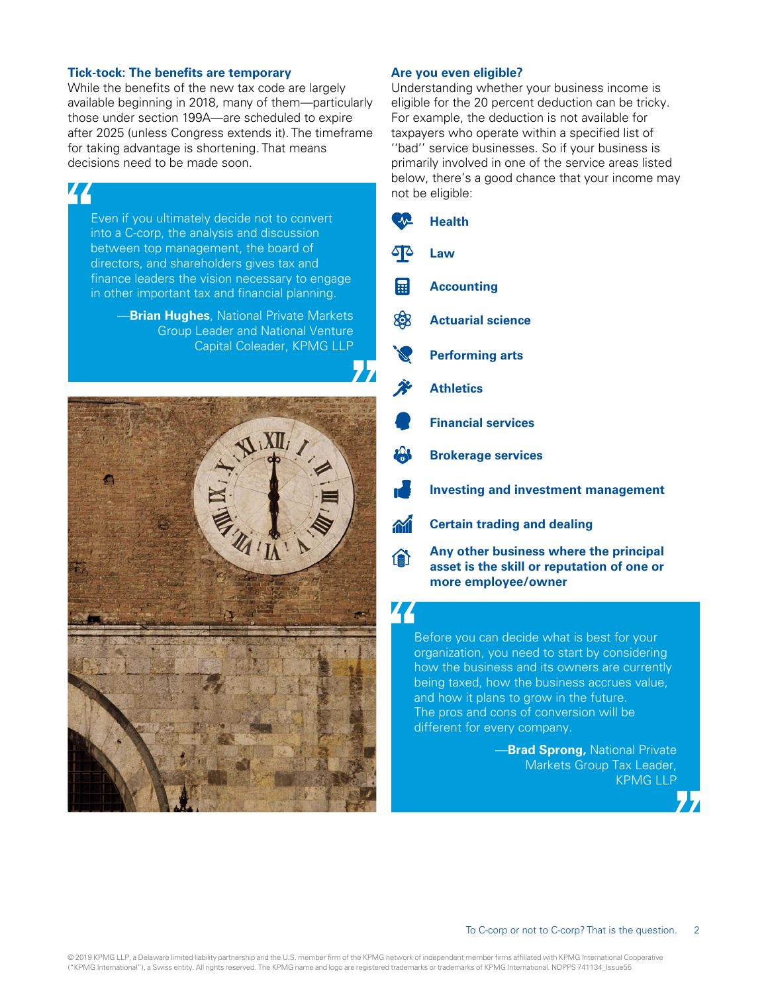#### **Tick-tock: The benefits are temporary**

While the benefits of the new tax code are largely available beginning in 2018, many of them—particularly those under section 199A—are scheduled to expire after 2025 (unless Congress extends it). The timeframe for taking advantage is shortening. That means decisions need to be made soon.

# 44

Even if you ultimately decide not to convert into a C-corp, the analysis and discussion between top management, the board of directors, and shareholders gives tax and finance leaders the vision necessary to engage in other important tax and financial planning.

—**Brian Hughes**, National Private Markets Group Leader and National Venture Capital Coleader, KPMG LLP



#### **Are you even eligible?**

Understanding whether your business income is eligible for the 20 percent deduction can be tricky. For example, the deduction is not available for taxpayers who operate within a specified list of ''bad'' service businesses. So if your business is primarily involved in one of the service areas listed below, there's a good chance that your income may not be eligible:

| $\rightsquigarrow$                          | <b>Health</b>                                                                                               |
|---------------------------------------------|-------------------------------------------------------------------------------------------------------------|
| <b>F</b>                                    | Law                                                                                                         |
| 團                                           | <b>Accounting</b>                                                                                           |
| 够                                           | <b>Actuarial science</b>                                                                                    |
|                                             | <b>Performing arts</b>                                                                                      |
| $\ddot{\mathcal{E}}$                        | <b>Athletics</b>                                                                                            |
|                                             | <b>Financial services</b>                                                                                   |
| <b>181</b>                                  | <b>Brokerage services</b>                                                                                   |
| $\mathbf{r}$                                | <b>Investing and investment management</b>                                                                  |
| 不信                                          | <b>Certain trading and dealing</b>                                                                          |
| 企                                           | Any other business where the principal<br>asset is the skill or reputation of one or<br>more employee/owner |
| Before you can decide what is best for your |                                                                                                             |

organization, you need to start by considering how the business and its owners are currently being taxed, how the business accrues value, and how it plans to grow in the future. The pros and cons of conversion will be different for every company.

> —**Brad Sprong,** National Private Markets Group Tax Leader, KPMG LLP

#### 2 To C-corp or not to C-corp? That is the question.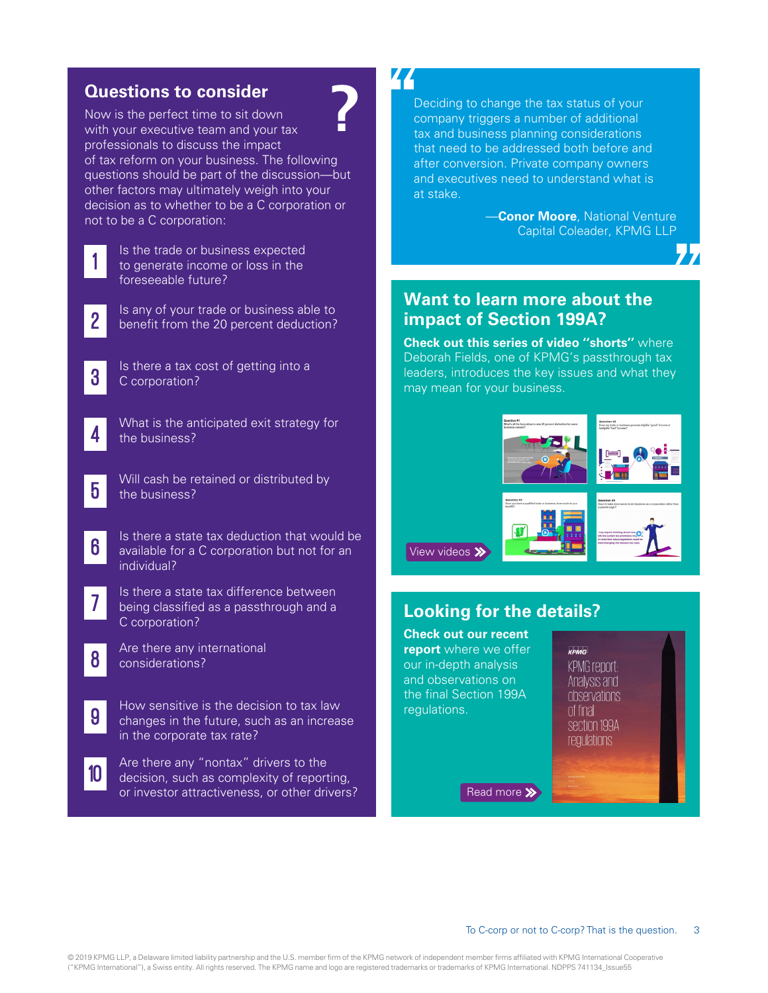# **Questions to consider**

Now is the perfect time to sit down with your executive team and your tax professionals to discuss the impact of tax reform on your business. The following questions should be part of the discussion—but other factors may ultimately weigh into your decision as to whether to be a C corporation or not to be a C corporation:

1  $\mathbf 1$ |<br>|<br>|

Is the trade or business expected to generate income or loss in the foreseeable future?

**2** Is any of your trade or business able to benefit from the 20 percent deduction?

Is there a tax cost of getting into a C corporation?



5

6

7

8

9

3

What is the anticipated exit strategy for the business?

Will cash be retained or distributed by the business?

Is there a state tax deduction that would be available for a C corporation but not for an individual?

Is there a state tax difference between being classified as a passthrough and a C corporation?

- Are there any international considerations?
	- How sensitive is the decision to tax law changes in the future, such as an increase in the corporate tax rate?

**10** Are there any "nontax" drivers to the<br>**10** decision, such as complexity of reporting, or investor attractiveness, or other drivers?

# 44

Deciding to change the tax status of your company triggers a number of additional tax and business planning considerations that need to be addressed both before and after conversion. Private company owners and executives need to understand what is at stake.

> **—Conor Moore**, National Venture Capital Coleader, KPMG LLP

# **Want to learn more about the impact of Section 199A?**

**[Check out this series of video ''shorts'](https://tax.kpmg.us/articles/2019/section-199a-explained-in-video.html)'** where Deborah Fields, one of KPMG's passthrough tax leaders, introduces the key issues and what they may mean for your business.



[View videos](https://tax.kpmg.us/articles/2019/section-199a-explained-in-video.html?utm_source=privatspeaking55sectn199a07_25_19&utm_medium=referral&mid=m-00004742&utm_campaign=c-00076109&cid=c-00076109) >>

# **Looking for the details?**

**[Check out our recent](https://assets.kpmg/content/dam/kpmg/us/pdf/2019/01/tnf-199a-kpmg-report-jan24-2019.pdf)  [report](https://assets.kpmg/content/dam/kpmg/us/pdf/2019/01/tnf-199a-kpmg-report-jan24-2019.pdf)** where we offer our in-depth analysis and observations on the final Section 199A regulations.

KPMG KPMG renort-Analysis and observations of final section 199A **regulations** 

[Read more](https://assets.kpmg/content/dam/kpmg/us/pdf/2019/01/tnf-199a-kpmg-report-jan24-2019.pdf) >>